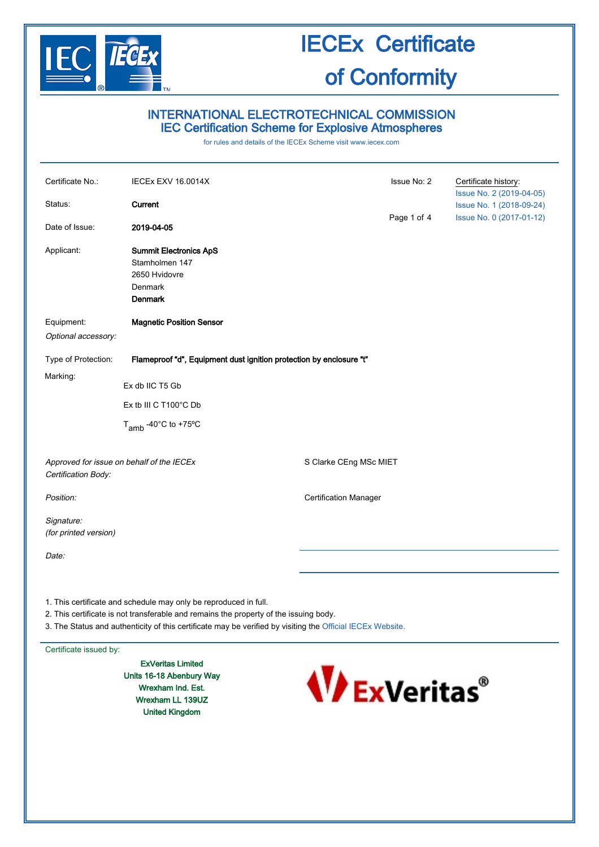

## INTERNATIONAL ELECTROTECHNICAL COMMISSION IEC Certification Scheme for Explosive Atmospheres

for rules and details of the IECEx Scheme visit [www.iecex.com](http://www.iecex.com/)

| Certificate No.:                                                                      | IECEx EXV 16.0014X                                                  | Issue No: 2                  | Certificate history:     |  |  |  |  |
|---------------------------------------------------------------------------------------|---------------------------------------------------------------------|------------------------------|--------------------------|--|--|--|--|
|                                                                                       |                                                                     |                              | Issue No. 2 (2019-04-05) |  |  |  |  |
| Status:                                                                               | Current                                                             |                              | Issue No. 1 (2018-09-24) |  |  |  |  |
| Date of Issue:                                                                        | 2019-04-05                                                          | Page 1 of 4                  | Issue No. 0 (2017-01-12) |  |  |  |  |
| Applicant:                                                                            | <b>Summit Electronics ApS</b>                                       |                              |                          |  |  |  |  |
|                                                                                       | Stamholmen 147                                                      |                              |                          |  |  |  |  |
|                                                                                       | 2650 Hvidovre                                                       |                              |                          |  |  |  |  |
|                                                                                       | Denmark                                                             |                              |                          |  |  |  |  |
|                                                                                       | <b>Denmark</b>                                                      |                              |                          |  |  |  |  |
| Equipment:                                                                            | <b>Magnetic Position Sensor</b>                                     |                              |                          |  |  |  |  |
| Optional accessory:                                                                   |                                                                     |                              |                          |  |  |  |  |
| Type of Protection:                                                                   | Flameproof "d", Equipment dust ignition protection by enclosure "t" |                              |                          |  |  |  |  |
| Marking:                                                                              |                                                                     |                              |                          |  |  |  |  |
|                                                                                       | Ex db IIC T5 Gb                                                     |                              |                          |  |  |  |  |
|                                                                                       | Ex tb III C T100°C Db                                               |                              |                          |  |  |  |  |
|                                                                                       | $T_{amb}$ -40 $^{\circ}$ C to +75 $^{\circ}$ C                      |                              |                          |  |  |  |  |
|                                                                                       |                                                                     |                              |                          |  |  |  |  |
| Approved for issue on behalf of the IECEx                                             |                                                                     | S Clarke CEng MSc MIET       |                          |  |  |  |  |
| Certification Body:                                                                   |                                                                     |                              |                          |  |  |  |  |
| Position:                                                                             |                                                                     | <b>Certification Manager</b> |                          |  |  |  |  |
| Signature:                                                                            |                                                                     |                              |                          |  |  |  |  |
| (for printed version)                                                                 |                                                                     |                              |                          |  |  |  |  |
| Date:                                                                                 |                                                                     |                              |                          |  |  |  |  |
|                                                                                       |                                                                     |                              |                          |  |  |  |  |
|                                                                                       |                                                                     |                              |                          |  |  |  |  |
|                                                                                       | 1. This certificate and schedule may only be reproduced in full.    |                              |                          |  |  |  |  |
| 2. This certificate is not transferable and remains the property of the issuing body. |                                                                     |                              |                          |  |  |  |  |

3. The Status and authenticity of this certificate may be verified by visiting the [Official IECEx Website.](http://iecex.iec.ch/)

Certificate issued by:

ExVeritas Limited Units 16-18 Abenbury Way Wrexham Ind. Est. Wrexham LL 139UZ United Kingdom

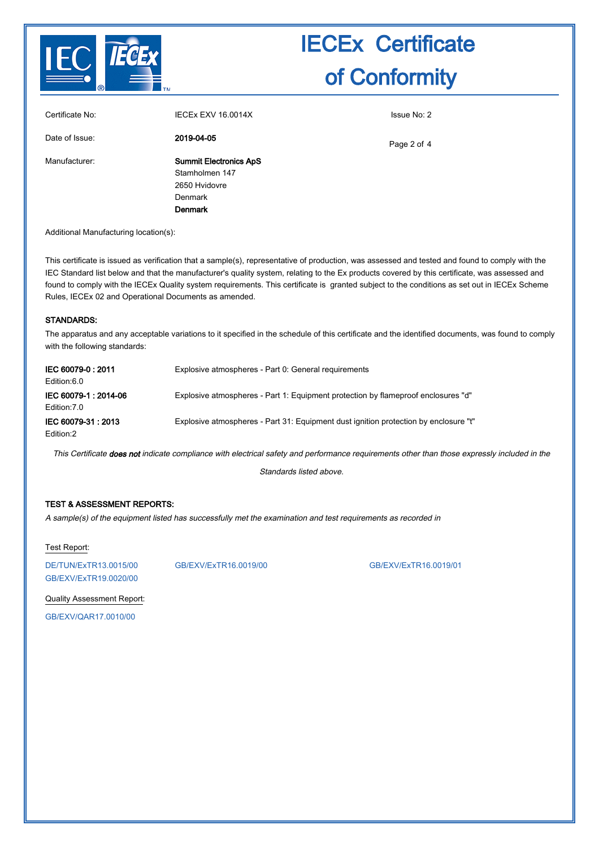

| Certificate No: | <b>IECEX EXV 16.0014X</b>     | Issue No: 2 |
|-----------------|-------------------------------|-------------|
| Date of Issue:  | 2019-04-05                    | Page 2 of 4 |
| Manufacturer:   | <b>Summit Electronics ApS</b> |             |
|                 | Stamholmen 147                |             |
|                 | 2650 Hvidovre                 |             |
|                 | <b>Denmark</b>                |             |
|                 | <b>Denmark</b>                |             |

Additional Manufacturing location(s):

This certificate is issued as verification that a sample(s), representative of production, was assessed and tested and found to comply with the IEC Standard list below and that the manufacturer's quality system, relating to the Ex products covered by this certificate, was assessed and found to comply with the IECEx Quality system requirements. This certificate is granted subject to the conditions as set out in IECEx Scheme Rules, IECEx 02 and Operational Documents as amended.

### STANDARDS:

The apparatus and any acceptable variations to it specified in the schedule of this certificate and the identified documents, was found to comply with the following standards:

| IEC 60079-0:2011<br>Edition:6.0     | Explosive atmospheres - Part 0: General requirements                                 |
|-------------------------------------|--------------------------------------------------------------------------------------|
| IEC 60079-1:2014-06<br>Edition: 7.0 | Explosive atmospheres - Part 1: Equipment protection by flameproof enclosures "d"    |
| IEC 60079-31: 2013<br>Edition:2     | Explosive atmospheres - Part 31: Equipment dust ignition protection by enclosure "t" |

This Certificate does not indicate compliance with electrical safety and performance requirements other than those expressly included in the

Standards listed above.

### TEST & ASSESSMENT REPORTS:

A sample(s) of the equipment listed has successfully met the examination and test requirements as recorded in

Test Report:

[DE/TUN/ExTR13.0015/00](http://iecex.iec.ch/extr/DE.TUN.ExTR13.0015.00) [GB/EXV/ExTR16.0019/00](http://iecex.iec.ch/extr/GB.EXV.ExTR16.0019.00) [GB/EXV/ExTR16.0019/01](http://iecex.iec.ch/extr/GB.EXV.ExTR16.0019.01) [GB/EXV/ExTR19.0020/00](http://iecex.iec.ch/extr/GB.EXV.ExTR19.0020.00)

Quality Assessment Report:

[GB/EXV/QAR17.0010/00](http://iecex.iec.ch/qar/GB.EXV.QAR17.0010.00)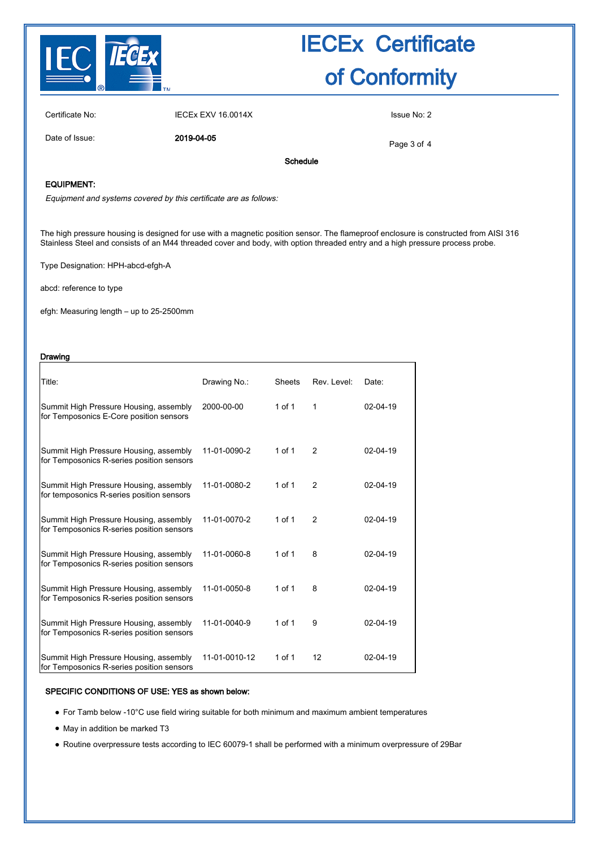

Certificate No: IECEx EXV 16.0014X Issue No: 2

Date of Issue: 2019-04-05

Page 3 of 4

Schedule

### EQUIPMENT:

Equipment and systems covered by this certificate are as follows:

The high pressure housing is designed for use with a magnetic position sensor. The flameproof enclosure is constructed from AISI 316 Stainless Steel and consists of an M44 threaded cover and body, with option threaded entry and a high pressure process probe.

Type Designation: HPH-abcd-efgh-A

abcd: reference to type

efgh: Measuring length – up to 25-2500mm

### Drawing

| Title:                                                                              | Drawing No.:  | <b>Sheets</b> | Rev. Level:    | Date:          |
|-------------------------------------------------------------------------------------|---------------|---------------|----------------|----------------|
| Summit High Pressure Housing, assembly<br>for Temposonics E-Core position sensors   | 2000-00-00    | 1 of 1        | 1              | $02 - 04 - 19$ |
| Summit High Pressure Housing, assembly<br>for Temposonics R-series position sensors | 11-01-0090-2  | $1$ of $1$    | $\overline{2}$ | $02 - 04 - 19$ |
| Summit High Pressure Housing, assembly<br>for temposonics R-series position sensors | 11-01-0080-2  | 1 of 1        | $\overline{2}$ | $02 - 04 - 19$ |
| Summit High Pressure Housing, assembly<br>for Temposonics R-series position sensors | 11-01-0070-2  | 1 of 1        | 2              | $02 - 04 - 19$ |
| Summit High Pressure Housing, assembly<br>for Temposonics R-series position sensors | 11-01-0060-8  | $1$ of $1$    | 8              | $02 - 04 - 19$ |
| Summit High Pressure Housing, assembly<br>for Temposonics R-series position sensors | 11-01-0050-8  | $1$ of $1$    | 8              | $02 - 04 - 19$ |
| Summit High Pressure Housing, assembly<br>for Temposonics R-series position sensors | 11-01-0040-9  | $1$ of $1$    | 9              | $02 - 04 - 19$ |
| Summit High Pressure Housing, assembly<br>for Temposonics R-series position sensors | 11-01-0010-12 | 1 of 1        | 12             | $02 - 04 - 19$ |

#### SPECIFIC CONDITIONS OF USE: YES as shown below:

- For Tamb below -10°C use field wiring suitable for both minimum and maximum ambient temperatures
- May in addition be marked T3
- Routine overpressure tests according to IEC 60079-1 shall be performed with a minimum overpressure of 29Bar